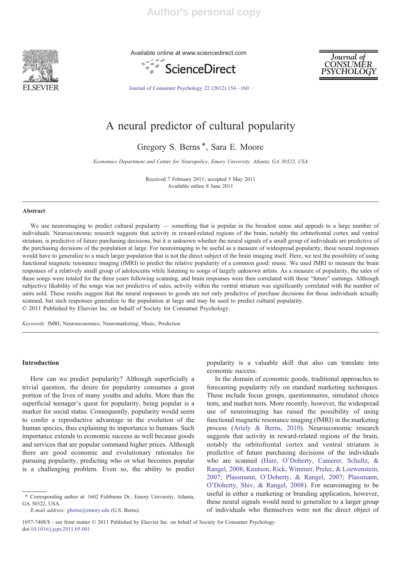

Available online at www.sciencedirect.com





Journal of Consumer Psychology 22 (2012) 154–160

# A neural predictor of cultural popularity

Gregory S. Berns<sup>\*</sup>, Sara E. Moore

Economics Department and Center for Neuropolicy, Emory University, Atlanta, GA 30322, USA

Received 7 February 2011; accepted 5 May 2011 Available online 8 June 2011

#### Abstract

We use neuroimaging to predict cultural popularity — something that is popular in the broadest sense and appeals to a large number of individuals. Neuroeconomic research suggests that activity in reward-related regions of the brain, notably the orbitofrontal cortex and ventral striatum, is predictive of future purchasing decisions, but it is unknown whether the neural signals of a small group of individuals are predictive of the purchasing decisions of the population at large. For neuroimaging to be useful as a measure of widespread popularity, these neural responses would have to generalize to a much larger population that is not the direct subject of the brain imaging itself. Here, we test the possibility of using functional magnetic resonance imaging (fMRI) to predict the relative popularity of a common good: music. We used fMRI to measure the brain responses of a relatively small group of adolescents while listening to songs of largely unknown artists. As a measure of popularity, the sales of these songs were totaled for the three years following scanning, and brain responses were then correlated with these "future" earnings. Although subjective likability of the songs was not predictive of sales, activity within the ventral striatum was significantly correlated with the number of units sold. These results suggest that the neural responses to goods are not only predictive of purchase decisions for those individuals actually scanned, but such responses generalize to the population at large and may be used to predict cultural popularity. © 2011 Published by Elsevier Inc. on behalf of Society for Consumer Psychology.

Keywords: fMRI; Neuroeconomics; Neuromarketing; Music; Prediction

#### Introduction

How can we predict popularity? Although superficially a trivial question, the desire for popularity consumes a great portion of the lives of many youths and adults. More than the superficial teenager's quest for popularity, being popular is a marker for social status. Consequently, popularity would seem to confer a reproductive advantage in the evolution of the human species, thus explaining its importance to humans. Such importance extends to economic success as well because goods and services that are popular command higher prices. Although there are good economic and evolutionary rationales for pursuing popularity, predicting who or what becomes popular is a challenging problem. Even so, the ability to predict

E-mail address: gberns@emory.edu (G.S. Berns).

popularity is a valuable skill that also can translate into economic success.

In the domain of economic goods, traditional approaches to forecasting popularity rely on standard marketing techniques. These include focus groups, questionnaires, simulated choice tests, and market tests. More recently, however, the widespread use of neuroimaging has raised the possibility of using functional magnetic resonance imaging (fMRI) in the marketing process (Ariely & Berns, 2010). Neuroeconomic research suggests that activity in reward-related regions of the brain, notably the orbitofrontal cortex and ventral striatum is predictive of future purchasing decisions of the individuals who are scanned (Hare, O'Doherty, Camerer, Schultz, & Rangel, 2008; Knutson, Rick, Wimmer, Prelec, & Loewenstein, 2007; Plassmann, O'Doherty, & Rangel, 2007; Plassmann, O'Doherty, Shiv, & Rangel, 2008). For neuroimaging to be useful in either a marketing or branding application, however, these neural signals would need to generalize to a larger group of individuals who themselves were not the direct object of

<sup>⁎</sup> Corresponding author at: 1602 Fishburne Dr., Emory University, Atlanta, GA 30322, USA.

<sup>1057-7408/\$ -</sup> see front matter © 2011 Published by Elsevier Inc. on behalf of Society for Consumer Psychology. doi:10.1016/j.jcps.2011.05.001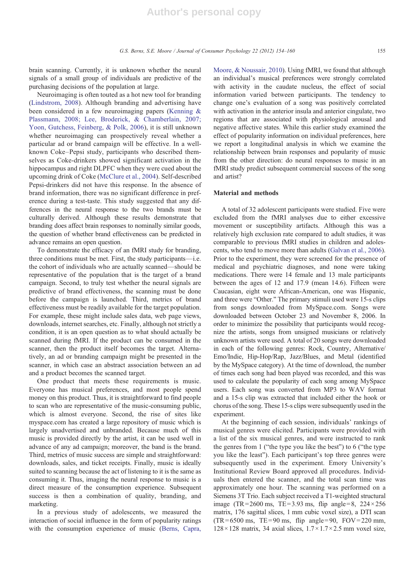brain scanning. Currently, it is unknown whether the neural signals of a small group of individuals are predictive of the purchasing decisions of the population at large.

Neuroimaging is often touted as a hot new tool for branding (Lindstrom, 2008). Although branding and advertising have been considered in a few neuroimaging papers (Kenning & Plassmann, 2008; Lee, Broderick, & Chamberlain, 2007; Yoon, Gutchess, Feinberg, & Polk, 2006), it is still unknown whether neuroimaging can prospectively reveal whether a particular ad or brand campaign will be effective. In a wellknown Coke–Pepsi study, participants who described themselves as Coke-drinkers showed significant activation in the hippocampus and right DLPFC when they were cued about the upcoming drink of Coke (McClure et al., 2004). Self-described Pepsi-drinkers did not have this response. In the absence of brand information, there was no significant difference in preference during a test-taste. This study suggested that any differences in the neural response to the two brands must be culturally derived. Although these results demonstrate that branding does affect brain responses to nominally similar goods, the question of whether brand effectiveness can be predicted in advance remains an open question.

To demonstrate the efficacy of an fMRI study for branding, three conditions must be met. First, the study participants—i.e. the cohort of individuals who are actually scanned—should be representative of the population that is the target of a brand campaign. Second, to truly test whether the neural signals are predictive of brand effectiveness, the scanning must be done before the campaign is launched. Third, metrics of brand effectiveness must be readily available for the target population. For example, these might include sales data, web page views, downloads, internet searches, etc. Finally, although not strictly a condition, it is an open question as to what should actually be scanned during fMRI. If the product can be consumed in the scanner, then the product itself becomes the target. Alternatively, an ad or branding campaign might be presented in the scanner, in which case an abstract association between an ad and a product becomes the scanned target.

One product that meets these requirements is music. Everyone has musical preferences, and most people spend money on this product. Thus, it is straightforward to find people to scan who are representative of the music-consuming public, which is almost everyone. Second, the rise of sites like myspace.com has created a large repository of music which is largely unadvertised and unbranded. Because much of this music is provided directly by the artist, it can be used well in advance of any ad campaign; moreover, the band is the brand. Third, metrics of music success are simple and straightforward: downloads, sales, and ticket receipts. Finally, music is ideally suited to scanning because the act of listening to it is the same as consuming it. Thus, imaging the neural response to music is a direct measure of the consumption experience. Subsequent success is then a combination of quality, branding, and marketing.

In a previous study of adolescents, we measured the interaction of social influence in the form of popularity ratings with the consumption experience of music (Berns, Capra, Moore, & Noussair, 2010). Using fMRI, we found that although an individual's musical preferences were strongly correlated with activity in the caudate nucleus, the effect of social information varied between participants. The tendency to change one's evaluation of a song was positively correlated with activation in the anterior insula and anterior cingulate, two regions that are associated with physiological arousal and negative affective states. While this earlier study examined the effect of popularity information on individual preferences, here we report a longitudinal analysis in which we examine the relationship between brain responses and popularity of music from the other direction: do neural responses to music in an fMRI study predict subsequent commercial success of the song and artist?

### Material and methods

A total of 32 adolescent participants were studied. Five were excluded from the fMRI analyses due to either excessive movement or susceptibility artifacts. Although this was a relatively high exclusion rate compared to adult studies, it was comparable to previous fMRI studies in children and adolescents, who tend to move more than adults (Galvan et al., 2006). Prior to the experiment, they were screened for the presence of medical and psychiatric diagnoses, and none were taking medications. There were 14 female and 13 male participants between the ages of 12 and 17.9 (mean 14.6). Fifteen were Caucasian, eight were African-American, one was Hispanic, and three were "Other." The primary stimuli used were 15-s clips from songs downloaded from MySpace.com. Songs were downloaded between October 23 and November 8, 2006. In order to minimize the possibility that participants would recognize the artists, songs from unsigned musicians or relatively unknown artists were used. A total of 20 songs were downloaded in each of the following genres: Rock, Country, Alternative/ Emo/Indie, Hip-Hop/Rap, Jazz/Blues, and Metal (identified by the MySpace category). At the time of download, the number of times each song had been played was recorded, and this was used to calculate the popularity of each song among MySpace users. Each song was converted from MP3 to WAV format and a 15-s clip was extracted that included either the hook or chorus of the song. These 15-s clips were subsequently used in the experiment.

At the beginning of each session, individuals' rankings of musical genres were elicited. Participants were provided with a list of the six musical genres, and were instructed to rank the genres from 1 ("the type you like the best") to 6 ("the type you like the least"). Each participant's top three genres were subsequently used in the experiment. Emory University's Institutional Review Board approved all procedures. Individuals then entered the scanner, and the total scan time was approximately one hour. The scanning was performed on a Siemens 3T Trio. Each subject received a T1-weighted structural image (TR=2600 ms, TE=3.93 ms, flip angle=8,  $224 \times 256$ matrix, 176 sagittal slices, 1 mm cubic voxel size), a DTI scan  $(TR = 6500 \text{ ms}, TE = 90 \text{ ms}, \text{ flip angle} = 90, FOV = 220 \text{ mm},$  $128 \times 128$  matrix, 34 axial slices,  $1.7 \times 1.7 \times 2.5$  mm voxel size,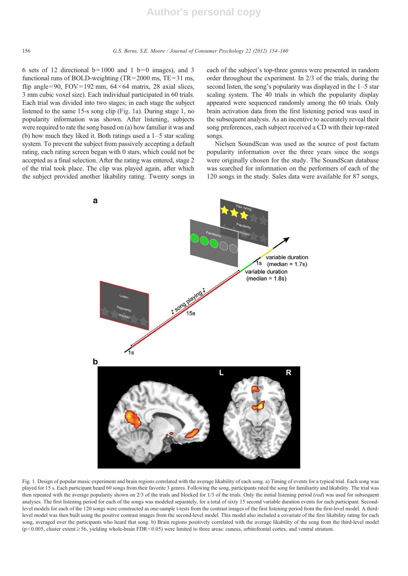6 sets of 12 directional  $b = 1000$  and 1  $b = 0$  images), and 3 functional runs of BOLD-weighting (TR= $2000$  ms, TE= $31$  ms, flip angle = 90, FOV = 192 mm,  $64 \times 64$  matrix, 28 axial slices, 3 mm cubic voxel size). Each individual participated in 60 trials. Each trial was divided into two stages; in each stage the subject listened to the same 15-s song clip (Fig. 1a). During stage 1, no popularity information was shown. After listening, subjects were required to rate the song based on (a) how familiar it was and (b) how much they liked it. Both ratings used a  $1-5$  star scaling system. To prevent the subject from passively accepting a default rating, each rating screen began with 0 stars, which could not be accepted as a final selection. After the rating was entered, stage 2 of the trial took place. The clip was played again, after which the subject provided another likability rating. Twenty songs in each of the subject's top-three genres were presented in random order throughout the experiment. In 2/3 of the trials, during the second listen, the song's popularity was displayed in the 1–5 star scaling system. The 40 trials in which the popularity display appeared were sequenced randomly among the 60 trials. Only brain activation data from the first listening period was used in the subsequent analysis. As an incentive to accurately reveal their song preferences, each subject received a CD with their top-rated songs.

Nielsen SoundScan was used as the source of post factum popularity information over the three years since the songs were originally chosen for the study. The SoundScan database was searched for information on the performers of each of the 120 songs in the study. Sales data were available for 87 songs,



Fig. 1. Design of popular music experiment and brain regions correlated with the average likability of each song. a) Timing of events for a typical trial. Each song was played for 15 s. Each participant heard 60 songs from their favorite 3 genres. Following the song, participants rated the song for familiarity and likability. The trial was then repeated with the average popularity shown on 2/3 of the trials and blocked for 1/3 of the trials. Only the initial listening period (red) was used for subsequent analyses. The first listening period for each of the songs was modeled separately, for a total of sixty 15 second variable duration events for each participant. Secondlevel models for each of the 120 songs were constructed as one-sample t-tests from the contrast images of the first listening period from the first-level model. A thirdlevel model was then built using the positive contrast images from the second-level model. This model also included a covariate of the first likability rating for each song, averaged over the participants who heard that song. b) Brain regions positively correlated with the average likability of the song from the third-level model (p<0.005, cluster extent≥56, yielding whole-brain FDR<0.05) were limited to three areas: cuneus, orbitofrontal cortex, and ventral striatum.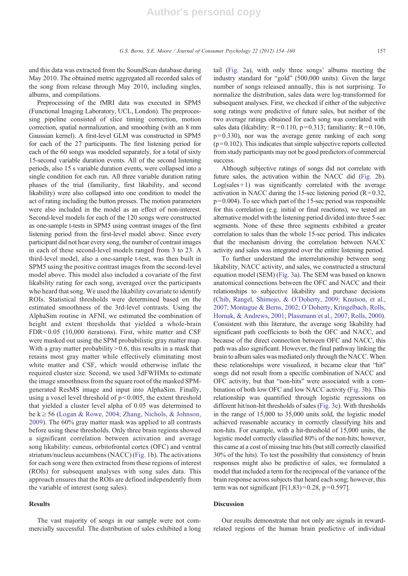and this data was extracted from the SoundScan database during May 2010. The obtained metric aggregated all recorded sales of the song from release through May 2010, including singles, albums, and compilations.

Preprocessing of the fMRI data was executed in SPM5 (Functional Imaging Laboratory, UCL, London). The preprocessing pipeline consisted of slice timing correction, motion correction, spatial normalization, and smoothing (with an 8 mm Gaussian kernel). A first-level GLM was constructed in SPM5 for each of the 27 participants. The first listening period for each of the 60 songs was modeled separately, for a total of sixty 15-second variable duration events. All of the second listening periods, also 15 s variable duration events, were collapsed into a single condition for each run. All three variable duration rating phases of the trial (familiarity, first likability, and second likability) were also collapsed into one condition to model the act of rating including the button presses. The motion parameters were also included in the model as an effect of non-interest. Second-level models for each of the 120 songs were constructed as one-sample t-tests in SPM5 using contrast images of the first listening period from the first-level model above. Since every participant did not hear every song, the number of contrast images in each of these second-level models ranged from 3 to 23. A third-level model, also a one-sample t-test, was then built in SPM5 using the positive contrast images from the second-level model above. This model also included a covariate of the first likability rating for each song, averaged over the participants who heard that song. We used the likability covariate to identify ROIs. Statistical thresholds were determined based on the estimated smoothness of the 3rd-level contrasts. Using the AlphaSim routine in AFNI, we estimated the combination of height and extent thresholds that yielded a whole-brain  $FDR < 0.05$  (10,000 iterations). First, white matter and CSF were masked out using the SPM probabilistic gray matter map. With a gray matter probability $> 0.6$ , this results in a mask that retains most gray matter while effectively eliminating most white matter and CSF, which would otherwise inflate the required cluster size. Second, we used 3dFWHMx to estimate the image smoothness from the square root of the masked SPMgenerated ResMS image and input into AlphaSim. Finally, using a voxel level threshold of  $p<0.005$ , the extent threshold that yielded a cluster level alpha of 0.05 was determined to be k≥56 (Logan & Rowe, 2004; Zhang, Nichols, & Johnson, 2009). The 60% gray matter mask was applied to all contrasts before using these thresholds. Only three brain regions showed a significant correlation between activation and average song likability: cuneus, orbitofrontal cortex (OFC) and ventral striatum/nucleus accumbens (NACC) (Fig. 1b). The activations for each song were then extracted from these regions of interest (ROIs) for subsequent analyses with song sales data. This approach ensures that the ROIs are defined independently from the variable of interest (song sales).

# Results

The vast majority of songs in our sample were not commercially successful. The distribution of sales exhibited a long tail (Fig. 2a), with only three songs' albums meeting the industry standard for "gold" (500,000 units). Given the large number of songs released annually, this is not surprising. To normalize the distribution, sales data were log-transformed for subsequent analyses. First, we checked if either of the subjective song ratings were predictive of future sales, but neither of the two average ratings obtained for each song was correlated with sales data (likability:  $R = 0.110$ ,  $p = 0.313$ ; familiarity:  $R = 0.106$ ,  $p= 0.330$ , nor was the average genre ranking of each song  $(p= 0.102)$ . This indicates that simple subjective reports collected from study participants may not be good predictors of commercial success.

Although subjective ratings of songs did not correlate with future sales, the activation within the NACC did (Fig. 2b).  $Log(sales + 1)$  was significantly correlated with the average activation in NACC during the 15-sec listening period  $(R=0.32,$  $p= 0.004$ ). To see which part of the 15-sec period was responsible for this correlation (e.g. initial or final reactions), we tested an alternative model with the listening period divided into three 5-sec segments. None of these three segments exhibited a greater correlation to sales than the whole 15-sec period. This indicates that the mechanism driving the correlation between NACC activity and sales was integrated over the entire listening period.

To further understand the interrelationship between song likability, NACC activity, and sales, we constructed a structural equation model (SEM) (Fig. 3a). The SEM was based on known anatomical connections between the OFC and NACC and their relationships to subjective likability and purchase decisions (Chib, Rangel, Shimojo, & O'Doherty, 2009; Knutson, et al., 2007; Montague & Berns, 2002; O'Doherty, Kringelbach, Rolls, Hornak, & Andrews, 2001; Plassmann et al., 2007; Rolls, 2000). Consistent with this literature, the average song likability had significant path coefficients to both the OFC and NACC, and because of the direct connection between OFC and NACC, this path was also significant. However, the final pathway linking the brain to album sales was mediated only through the NACC. When these relationships were visualized, it became clear that "hit" songs did not result from a specific combination of NACC and OFC activity, but that "non-hits" were associated with a combination of both low OFC and low NACC activity (Fig. 3b). This relationship was quantified through logistic regressions on different hit/non-hit thresholds of sales (Fig. 3c). With thresholds in the range of 15,000 to 35,000 units sold, the logistic model achieved reasonable accuracy in correctly classifying hits and non-hits. For example, with a hit-threshold of 15,000 units, the logistic model correctly classified 80% of the non-hits; however, this came at a cost of missing true hits (but still correctly classified 30% of the hits). To test the possibility that consistency of brain responses might also be predictive of sales, we formulated a model that included a term for the reciprocal of the variance of the brain response across subjects that heard each song; however, this term was not significant [F(1,83)= $0.28$ , p= $0.597$ ].

# Discussion

Our results demonstrate that not only are signals in rewardrelated regions of the human brain predictive of individual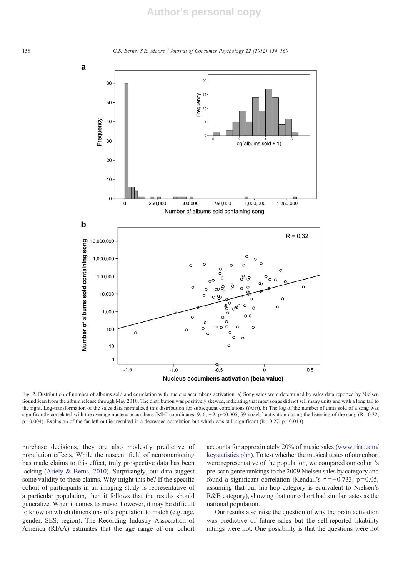



Fig. 2. Distribution of number of albums sold and correlation with nucleus accumbens activation. a) Song sales were determined by sales data reported by Nielsen SoundScan from the album release through May 2010. The distribution was positively skewed, indicating that most songs did not sell many units and with a long tail to the right. Log-transformation of the sales data normalized this distribution for subsequent correlations (inset). b) The log of the number of units sold of a song was significantly correlated with the average nucleus accumbens [MNI coordinates: 9, 6, -9; p<0.005, 59 voxels] activation during the listening of the song (R = 0.32,  $p=0.004$ ). Exclusion of the far left outlier resulted in a decreased correlation but which was still significant (R=0.27, p=0.013).

purchase decisions, they are also modestly predictive of population effects. While the nascent field of neuromarketing has made claims to this effect, truly prospective data has been lacking (Ariely & Berns, 2010). Surprisingly, our data suggest some validity to these claims. Why might this be? If the specific cohort of participants in an imaging study is representative of a particular population, then it follows that the results should generalize. When it comes to music, however, it may be difficult to know on which dimensions of a population to match (e.g. age, gender, SES, region). The Recording Industry Association of America (RIAA) estimates that the age range of our cohort accounts for approximately 20% of music sales (www.riaa.com/ keystatistics.php). To test whether the musical tastes of our cohort were representative of the population, we compared our cohort's pre-scan genre rankings to the 2009 Nielsen sales by category and found a significant correlation (Kendall's  $\tau = -0.733$ , p=0.05; assuming that our hip-hop category is equivalent to Nielsen's R&B category), showing that our cohort had similar tastes as the national population.

Our results also raise the question of why the brain activation was predictive of future sales but the self-reported likability ratings were not. One possibility is that the questions were not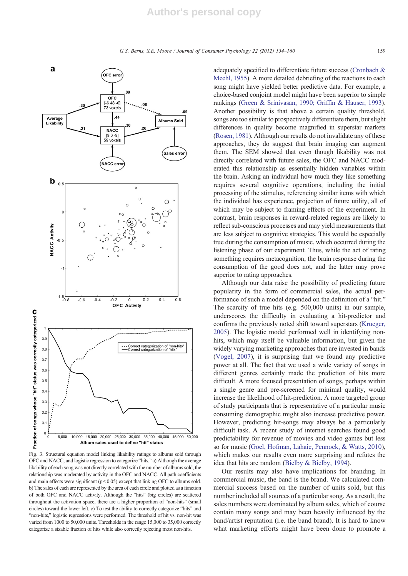

Fig. 3. Structural equation model linking likability ratings to albums sold through OFC and NACC, and logistic regression to categorize "hits." a) Although the average likability of each song was not directly correlated with the number of albums sold, the relationship was moderated by activity in the OFC and NACC. All path coefficients and main effects were significant  $(p<0.05)$  except that linking OFC to albums sold. b) The sales of each are represented by the area of each circle and plotted as a function of both OFC and NACC activity. Although the "hits" (big circles) are scattered throughout the activation space, there are a higher proportion of "non-hits" (small circles) toward the lower left. c) To test the ability to correctly categorize "hits" and "non-hits," logistic regressions were performed. The threshold of hit vs. non-hit was varied from 1000 to 50,000 units. Thresholds in the range 15,000 to 35,000 correctly categorize a sizable fraction of hits while also correctly rejecting most non-hits.

adequately specified to differentiate future success (Cronbach & Meehl, 1955). A more detailed debriefing of the reactions to each song might have yielded better predictive data. For example, a choice-based conjoint model might have been superior to simple rankings (Green & Srinivasan, 1990; Griffin & Hauser, 1993). Another possibility is that above a certain quality threshold, songs are too similar to prospectively differentiate them, but slight differences in quality become magnified in superstar markets (Rosen, 1981). Although our results do not invalidate any of these approaches, they do suggest that brain imaging can augment them. The SEM showed that even though likability was not directly correlated with future sales, the OFC and NACC moderated this relationship as essentially hidden variables within the brain. Asking an individual how much they like something requires several cognitive operations, including the initial processing of the stimulus, referencing similar items with which the individual has experience, projection of future utility, all of which may be subject to framing effects of the experiment. In contrast, brain responses in reward-related regions are likely to reflect sub-conscious processes and may yield measurements that are less subject to cognitive strategies. This would be especially true during the consumption of music, which occurred during the listening phase of our experiment. Thus, while the act of rating something requires metacognition, the brain response during the consumption of the good does not, and the latter may prove superior to rating approaches.

Although our data raise the possibility of predicting future popularity in the form of commercial sales, the actual performance of such a model depended on the definition of a "hit." The scarcity of true hits (e.g. 500,000 units) in our sample, underscores the difficulty in evaluating a hit-predictor and confirms the previously noted shift toward superstars (Krueger, 2005). The logistic model performed well in identifying nonhits, which may itself be valuable information, but given the widely varying marketing approaches that are invested in bands (Vogel, 2007), it is surprising that we found any predictive power at all. The fact that we used a wide variety of songs in different genres certainly made the prediction of hits more difficult. A more focused presentation of songs, perhaps within a single genre and pre-screened for minimal quality, would increase the likelihood of hit-prediction. A more targeted group of study participants that is representative of a particular music consuming demographic might also increase predictive power. However, predicting hit-songs may always be a particularly difficult task. A recent study of internet searches found good predictability for revenue of movies and video games but less so for music (Goel, Hofman, Lahaie, Pennock, & Watts, 2010), which makes our results even more surprising and refutes the idea that hits are random (Bielby & Bielby, 1994).

Our results may also have implications for branding. In commercial music, the band is the brand. We calculated commercial success based on the number of units sold, but this number included all sources of a particular song. As a result, the sales numbers were dominated by album sales, which of course contain many songs and may been heavily influenced by the band/artist reputation (i.e. the band brand). It is hard to know what marketing efforts might have been done to promote a